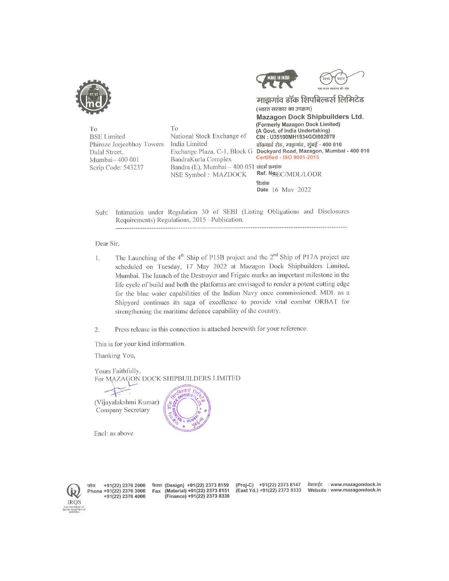

To **BSE** Limited Phiroze Jeejeebhoy Towers Dalal Street, Mumbai-400 001 Scrip Code: 543237

To National Stock Exchange of India Limited BandraKurla Complex Bandra (E), Mumbai - 400 051 संदर्भ क्रमांक NSE Symbol: MAZDOCK



माझगांव डॉक शिपबिल्डर्स लिमिटेड (भारत सरकार का उपक्रम) Mazagon Dock Shipbuilders Ltd. (Formerly Mazagon Dock Limited) (A Govt. of India Undertaking) CIN: U35100MH1934GOI002079 डॉकयार्ड रोड, माझगांव, मुंबई - 400 010 Exchange Plaza, C-1, Block G Dockyard Road, Mazagon, Mumbai - 400 010 Certified - ISO 9001-2015 Ref. Ng<sub>EC/MDL/LODR</sub> दिलांक Date 16 May 2022

Intimation under Regulation 30 of SEBI (Listing Obligations and Disclosures Sub: Requirements) Regulations, 2015 -Publication.

## Dear Sir,

- The Launching of the  $4<sup>th</sup>$  Ship of P15B project and the  $2<sup>nd</sup>$  Ship of P17A project are  $1.$ scheduled on Tuesday, 17 May 2022 at Mazagon Dock Shipbuilders Limited, Mumbai. The launch of the Destroyer and Frigate marks an important milestone in the life cycle of build and both the platforms are envisaged to render a potent cutting edge for the blue water capabilities of the Indian Navy once commissioned. MDL as a Shipyard continues its saga of excellence to provide vital combat ORBAT for strengthening the maritime defence capability of the country.
- Press release in this connection is attached herewith for your reference.  $2.$

This is for your kind information.

Thanking You,

Yours Faithfully, For MAZAGON DOCK SHIPBUILDERS LIMITED

(Vijayalakshmi Kumar) Company Secretary



Encl: as above



फोन +91(22) 2376 2000<br>Phone +91(22) 2376 3000  $+91(22)$  2376 4000

फैक्स (Design) +91(22) 2373 8159<br>Fax (Material) +91(22) 2373 8151 (Finance) +91(22) 2373 8338

(Proj-C) +91(22) 2373 8147 (East Yd.) +91(22) 2373 8333

वेबसाईट : www.mazagondock.in Website: www.mazagondock.in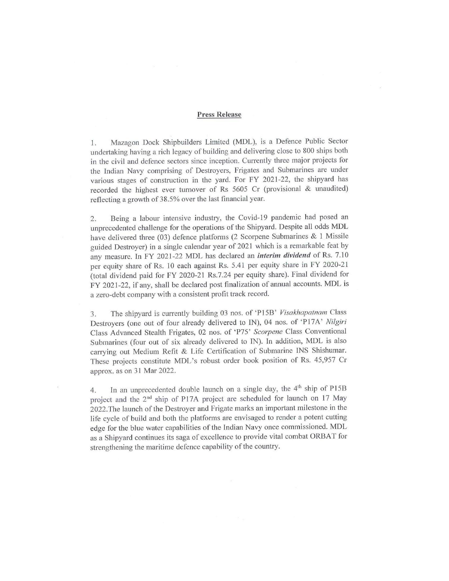## Press Release

1. Mazagon Dock Shipbuilders Limited (MDL), is a Defence Public Sector undertaking having a rich legacy of building and delivering close to 800 ships both in the civil and defence sectors since inception. Currently three major projects for the Indian Navy comprising of Destroyers, Frigates and Submarines are under various stages of construction in the yard. For FY 2021-22, the shipyard has recorded the highest ever turnover of Rs 5605 Cr (provisional & unaudited) reflecting a growth of 38.5% over the last financial year.

2. Being a labour intensive industry, the Covid-19 pandemic had posed an unprecedented challenge for the operations of the Shipyard. Despite all odds MDL have delivered three (03) defence platforms (2 Scorpene Submarines & 1 Missile guided Destroyer) in a single calendar year of 2021 which is a remarkable feat by any measure. In FY 2021-22 MDL has declared an interim dividend of Rs. 7.10 per equity share of Rs. 10 each against Rs. 5.41 per equity share in FY 2020-21 (total dividend paid for FY 2020-21 Rs.7.24 per equity share). Final dividend for FY 2021-22, if any, shall be declared post finalization of annual accounts. MDL is a zero-debt company with a consistent profit track record.

3. The shipyard is currently building 03 nos. of 'P15B' Visakhapatnam Class Destroyers (one out of four already delivered to IN), 04 nos. of \*PI7A' Nilgiri Class Advanced Stealth Frigates, 02 nos. of 'P75' Scorpene Class Conventional Submarines (four out of six already delivered to IN). In addition, MDL is also carrying out Medium Refit & Life Certification of Submarine INS Shishumar. These projects constitute MDL's robust order book position of Rs. 45,957 Cr approx. as on 31 Mar 2022.

4. In an unprecedented double launch on a single day, the 4<sup>th</sup> ship of P15B project and the 2<sup>nd</sup> ship of P17A project are scheduled for launch on 17 May 2022.The launch of the Destroyer and Frigate marks an important milestone in the life cycle of build and both the platforms are envisaged to render a potent cutting edge for the blue water capabilities of the Indian Navy once commissioned. MDL as a Shipyard continues its saga of excellence to provide vital combat ORBAT for strengthening the maritime defence capability of the country.